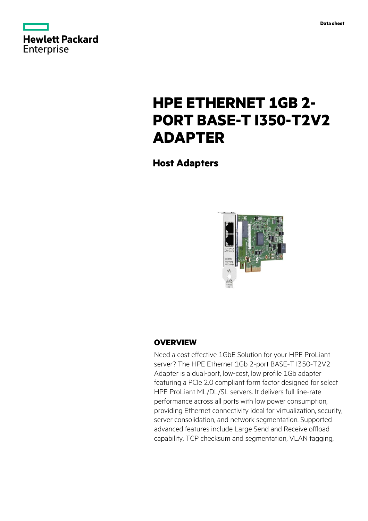



# **HPE ETHERNET 1GB 2- PORT BASE-T I350-T2V2 ADAPTER**

**Host Adapters**



# **OVERVIEW**

Need a cost effective 1GbE Solution for your HPE ProLiant server? The HPE Ethernet 1Gb 2-port BASE-T I350-T2V2 Adapter is a dual-port, low-cost, low profile 1Gb adapter featuring a PCIe 2.0 compliant form factor designed for select HPE ProLiant ML/DL/SL servers. It delivers full line-rate performance across all ports with low power consumption, providing Ethernet connectivity ideal for virtualization, security, server consolidation, and network segmentation. Supported advanced features include Large Send and Receive offload capability, TCP checksum and segmentation, VLAN tagging,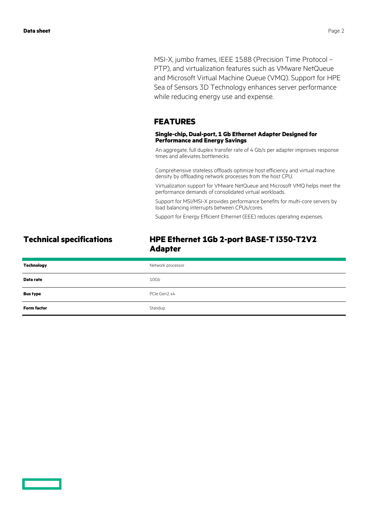MSI-X, jumbo frames, IEEE 1588 (Precision Time Protocol – PTP), and virtualization features such as VMware NetQueue and Microsoft Virtual Machine Queue (VMQ). Support for HPE Sea of Sensors 3D Technology enhances server performance while reducing energy use and expense.

#### **FEATURES**

#### **Single-chip, Dual-port, 1 Gb Ethernet Adapter Designed for Performance and Energy Savings**

An aggregate, full duplex transfer rate of 4 Gb/s per adapter improves response times and alleviates bottlenecks.

Comprehensive stateless offloads optimize host efficiency and virtual machine density by offloading network processes from the host CPU.

Virtualization support for VMware NetQueue and Microsoft VMQ helps meet the performance demands of consolidated virtual workloads.

Support for MSI/MSI-X provides performance benefits for multi-core servers by load balancing interrupts between CPUs/cores.

Support for Energy Efficient Ethernet (EEE) reduces operating expenses.

# **Technical specifications HPE Ethernet 1Gb 2-port BASE-T I350-T2V2 Adapter**

| <b>Technology</b>  | Network processor |
|--------------------|-------------------|
| Data rate          | 10Gb              |
| <b>Bus type</b>    | PCIe Gen2 x4      |
| <b>Form factor</b> | Standup           |